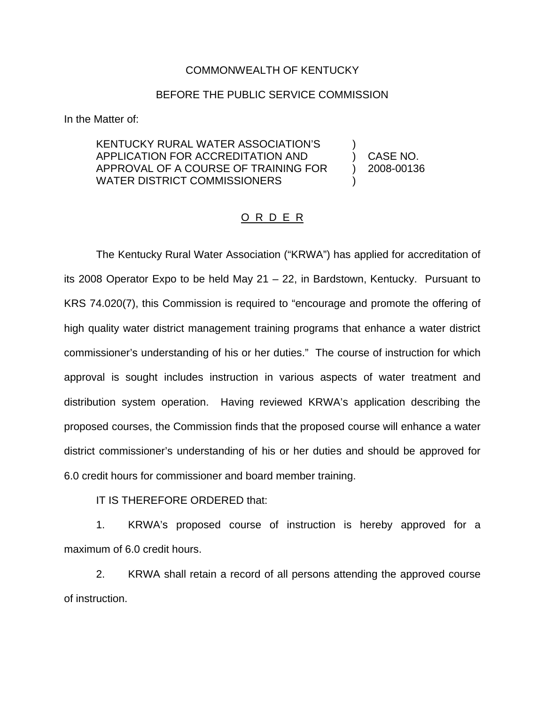## COMMONWEALTH OF KENTUCKY

## BEFORE THE PUBLIC SERVICE COMMISSION

In the Matter of:

KENTUCKY RURAL WATER ASSOCIATION'S ) APPLICATION FOR ACCREDITATION AND ) CASE NO. APPROVAL OF A COURSE OF TRAINING FOR ) 2008-00136 WATER DISTRICT COMMISSIONERS

## O R D E R

The Kentucky Rural Water Association ("KRWA") has applied for accreditation of its 2008 Operator Expo to be held May 21 – 22, in Bardstown, Kentucky. Pursuant to KRS 74.020(7), this Commission is required to "encourage and promote the offering of high quality water district management training programs that enhance a water district commissioner's understanding of his or her duties." The course of instruction for which approval is sought includes instruction in various aspects of water treatment and distribution system operation. Having reviewed KRWA's application describing the proposed courses, the Commission finds that the proposed course will enhance a water district commissioner's understanding of his or her duties and should be approved for 6.0 credit hours for commissioner and board member training.

IT IS THEREFORE ORDERED that:

1. KRWA's proposed course of instruction is hereby approved for a maximum of 6.0 credit hours.

2. KRWA shall retain a record of all persons attending the approved course of instruction.